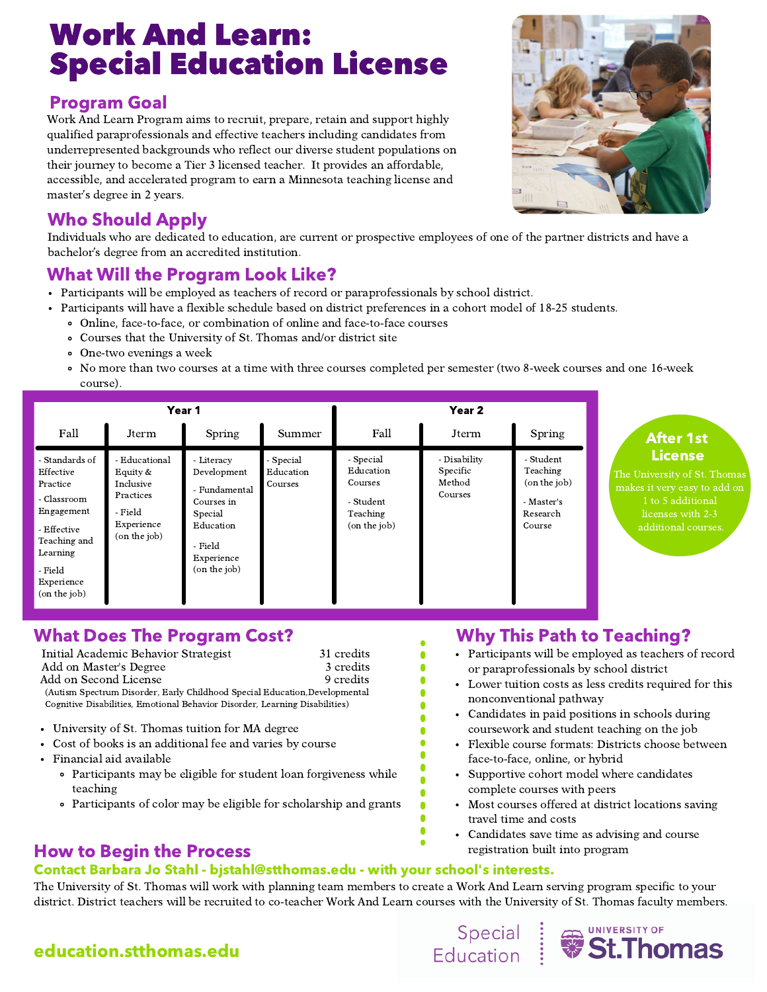# Work And Learn: Special Education License

#### Program Goal

Work And Learn Program aims to recruit, prepare, retain and support highly qualified paraprofessionals and effective teachers including candidates from underrepresented backgrounds who reflect our diverse student populations on their journey to become a Tier 3 licensed teacher. It provides an affordable, accessible, and accelerated program to earn a Minnesota teaching license and master's degree in 2 years.

#### Who Should Apply

Individuals who are dedicated to education, are current or prospective employees of one of the partner districts and have a bachelor's degree from an accredited institution.

#### What Will the Program Look Like?

- Participants will be employed as teachers of record or paraprofessionals by school district.
- Participants will have a flexible schedule based on district preferences in a cohort model of 18-25 students.
	- Online, face-to-face, or combination of online and face-to-face courses
	- Courses that the University of St. Thomas and/or district site
	- One-two evenings a week
	- No more than two courses at a time with three courses completed per semester (two 8-week courses and one 16-week course).

|                                                                                                                                                          | Year 1                                                                                         |                                                                                                                           |                                   | Year 2                                                                     |                                               |                                                                           |
|----------------------------------------------------------------------------------------------------------------------------------------------------------|------------------------------------------------------------------------------------------------|---------------------------------------------------------------------------------------------------------------------------|-----------------------------------|----------------------------------------------------------------------------|-----------------------------------------------|---------------------------------------------------------------------------|
| Fall                                                                                                                                                     | Jterm                                                                                          | Spring                                                                                                                    | Summer                            | Fall                                                                       | Jterm                                         | Spring                                                                    |
| - Standards of<br>Effective<br>Practice<br>- Classroom<br>Engagement<br>- Effective<br>Teaching and<br>Learning<br>- Field<br>Experience<br>(on the job) | - Educational<br>Equity $&$<br>Inclusive<br>Practices<br>- Field<br>Experience<br>(on the job) | - Literacy<br>Development<br>- Fundamental<br>Courses in<br>Special<br>Education<br>- Field<br>Experience<br>(on the job) | - Special<br>Education<br>Courses | - Special<br>Education<br>Courses<br>- Student<br>Teaching<br>(on the job) | - Disability<br>Specific<br>Method<br>Courses | - Student<br>Teaching<br>(on the job)<br>- Master's<br>Research<br>Course |

#### What Does The Program Cost?

Add on Second License 9 credits Initial Academic Behavior Strategist 31 credits Add on Master's Degree 3 credits (Autism Spectrum Disorder, Early Childhood Special Education,Developmental Cognitive Disabilities, Emotional Behavior Disorder, Learning Disabilities)

- University of St. Thomas tuition for MA degree  $\bullet$
- Cost of books is an additional fee and varies by course
- Financial aid available
	- Participants may be eligible for student loan forgiveness while teaching
	- Participants of color may be eligible for scholarship and grants

## Why This Path to Teaching?

- Participants will be employed as teachers of record or paraprofessionals by school district
- Lower tuition costs as less credits required for this nonconventional pathway
- Candidates in paid positions in schools during coursework and student teaching on the job
- Flexible course formats: Districts choose between face-to-face, online, or hybrid
- Supportive cohort model where candidates complete courses with peers
- Most courses offered at district locations saving travel time and costs
- Candidates save time as advising and course registration built into program

Special Buniversity of Education Washington

#### How to Begin the Process

#### Contact Barbara Jo Stahl - bjstahl@stthomas.edu - with your school's interests.

The University of St. Thomas will work with planning team members to create a Work And Learn serving program specific to your district. District teachers will be recruited to co-teacher Work And Learn courses with the University of St. Thomas faculty members.

## education.stthomas.edu